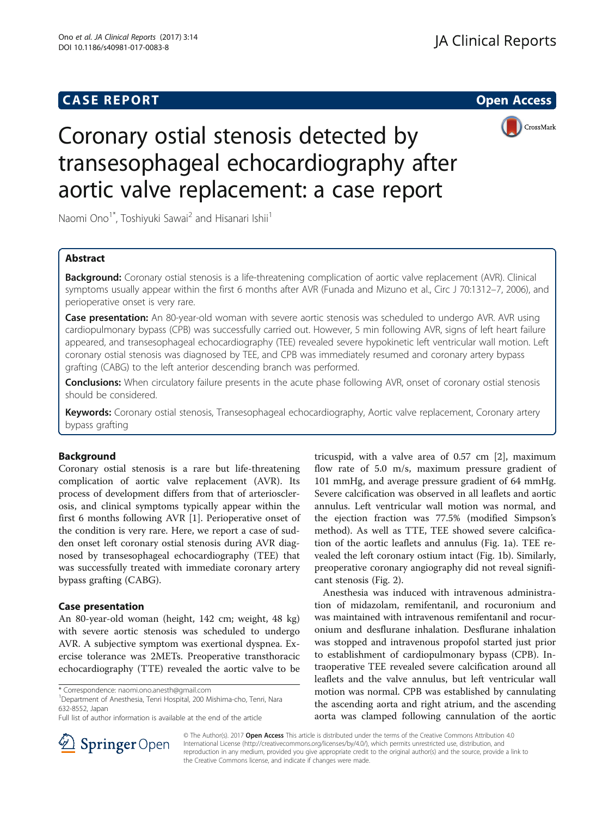# **CASE REPORT CASE REPORT CASE REPORT**



# Coronary ostial stenosis detected by transesophageal echocardiography after aortic valve replacement: a case report

Naomi Ono<sup>1\*</sup>, Toshiyuki Sawai<sup>2</sup> and Hisanari Ishii<sup>1</sup>

# Abstract

Background: Coronary ostial stenosis is a life-threatening complication of aortic valve replacement (AVR). Clinical symptoms usually appear within the first 6 months after AVR (Funada and Mizuno et al., Circ J 70:1312–7, 2006), and perioperative onset is very rare.

**Case presentation:** An 80-year-old woman with severe aortic stenosis was scheduled to undergo AVR. AVR using cardiopulmonary bypass (CPB) was successfully carried out. However, 5 min following AVR, signs of left heart failure appeared, and transesophageal echocardiography (TEE) revealed severe hypokinetic left ventricular wall motion. Left coronary ostial stenosis was diagnosed by TEE, and CPB was immediately resumed and coronary artery bypass grafting (CABG) to the left anterior descending branch was performed.

Conclusions: When circulatory failure presents in the acute phase following AVR, onset of coronary ostial stenosis should be considered.

Keywords: Coronary ostial stenosis, Transesophageal echocardiography, Aortic valve replacement, Coronary artery bypass grafting

# Background

Coronary ostial stenosis is a rare but life-threatening complication of aortic valve replacement (AVR). Its process of development differs from that of arteriosclerosis, and clinical symptoms typically appear within the first 6 months following AVR [\[1](#page-3-0)]. Perioperative onset of the condition is very rare. Here, we report a case of sudden onset left coronary ostial stenosis during AVR diagnosed by transesophageal echocardiography (TEE) that was successfully treated with immediate coronary artery bypass grafting (CABG).

## Case presentation

An 80-year-old woman (height, 142 cm; weight, 48 kg) with severe aortic stenosis was scheduled to undergo AVR. A subjective symptom was exertional dyspnea. Exercise tolerance was 2METs. Preoperative transthoracic echocardiography (TTE) revealed the aortic valve to be

Department of Anesthesia, Tenri Hospital, 200 Mishima-cho, Tenri, Nara 632-8552, Japan

tricuspid, with a valve area of 0.57 cm [[2\]](#page-3-0), maximum flow rate of 5.0 m/s, maximum pressure gradient of 101 mmHg, and average pressure gradient of 64 mmHg. Severe calcification was observed in all leaflets and aortic annulus. Left ventricular wall motion was normal, and the ejection fraction was 77.5% (modified Simpson's method). As well as TTE, TEE showed severe calcification of the aortic leaflets and annulus (Fig. [1](#page-1-0)a). TEE revealed the left coronary ostium intact (Fig. [1](#page-1-0)b). Similarly, preoperative coronary angiography did not reveal significant stenosis (Fig. [2\)](#page-1-0).

Anesthesia was induced with intravenous administration of midazolam, remifentanil, and rocuronium and was maintained with intravenous remifentanil and rocuronium and desflurane inhalation. Desflurane inhalation was stopped and intravenous propofol started just prior to establishment of cardiopulmonary bypass (CPB). Intraoperative TEE revealed severe calcification around all leaflets and the valve annulus, but left ventricular wall motion was normal. CPB was established by cannulating the ascending aorta and right atrium, and the ascending aorta was clamped following cannulation of the aortic



© The Author(s). 2017 **Open Access** This article is distributed under the terms of the Creative Commons Attribution 4.0 International License ([http://creativecommons.org/licenses/by/4.0/\)](http://creativecommons.org/licenses/by/4.0/), which permits unrestricted use, distribution, and reproduction in any medium, provided you give appropriate credit to the original author(s) and the source, provide a link to the Creative Commons license, and indicate if changes were made.

<sup>\*</sup> Correspondence: [naomi.ono.anesth@gmail.com](mailto:naomi.ono.anesth@gmail.com) <sup>1</sup>

Full list of author information is available at the end of the article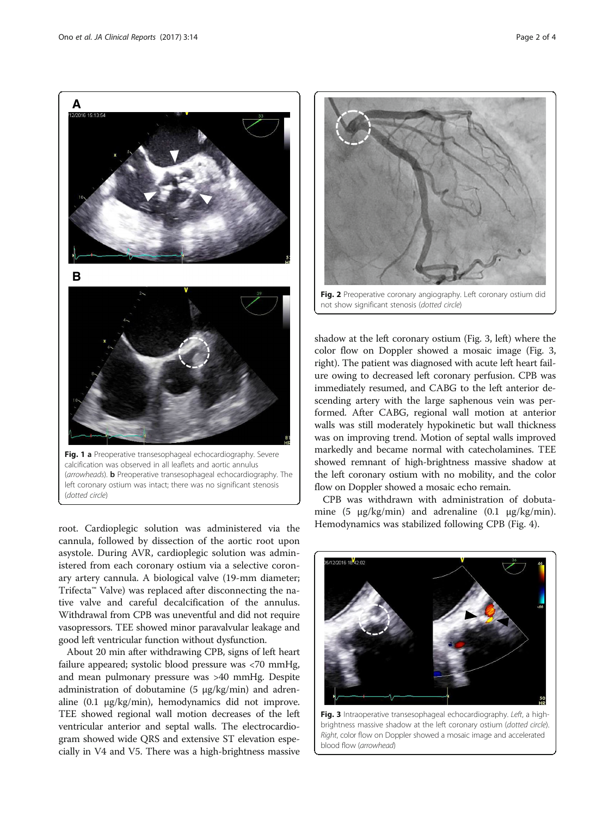<span id="page-1-0"></span>

root. Cardioplegic solution was administered via the cannula, followed by dissection of the aortic root upon asystole. During AVR, cardioplegic solution was administered from each coronary ostium via a selective coronary artery cannula. A biological valve (19-mm diameter; Trifecta™ Valve) was replaced after disconnecting the native valve and careful decalcification of the annulus. Withdrawal from CPB was uneventful and did not require vasopressors. TEE showed minor paravalvular leakage and good left ventricular function without dysfunction.

About 20 min after withdrawing CPB, signs of left heart failure appeared; systolic blood pressure was <70 mmHg, and mean pulmonary pressure was >40 mmHg. Despite administration of dobutamine (5 μg/kg/min) and adrenaline (0.1 μg/kg/min), hemodynamics did not improve. TEE showed regional wall motion decreases of the left ventricular anterior and septal walls. The electrocardiogram showed wide QRS and extensive ST elevation especially in V4 and V5. There was a high-brightness massive



not show significant stenosis (dotted circle)

shadow at the left coronary ostium (Fig. 3, left) where the color flow on Doppler showed a mosaic image (Fig. 3, right). The patient was diagnosed with acute left heart failure owing to decreased left coronary perfusion. CPB was immediately resumed, and CABG to the left anterior descending artery with the large saphenous vein was performed. After CABG, regional wall motion at anterior walls was still moderately hypokinetic but wall thickness was on improving trend. Motion of septal walls improved markedly and became normal with catecholamines. TEE showed remnant of high-brightness massive shadow at the left coronary ostium with no mobility, and the color flow on Doppler showed a mosaic echo remain.

CPB was withdrawn with administration of dobutamine (5 μg/kg/min) and adrenaline (0.1 μg/kg/min). Hemodynamics was stabilized following CPB (Fig. [4](#page-2-0)).



Fig. 3 Intraoperative transesophageal echocardiography. Left, a highbrightness massive shadow at the left coronary ostium (dotted circle). Right, color flow on Doppler showed a mosaic image and accelerated blood flow (arrowhead)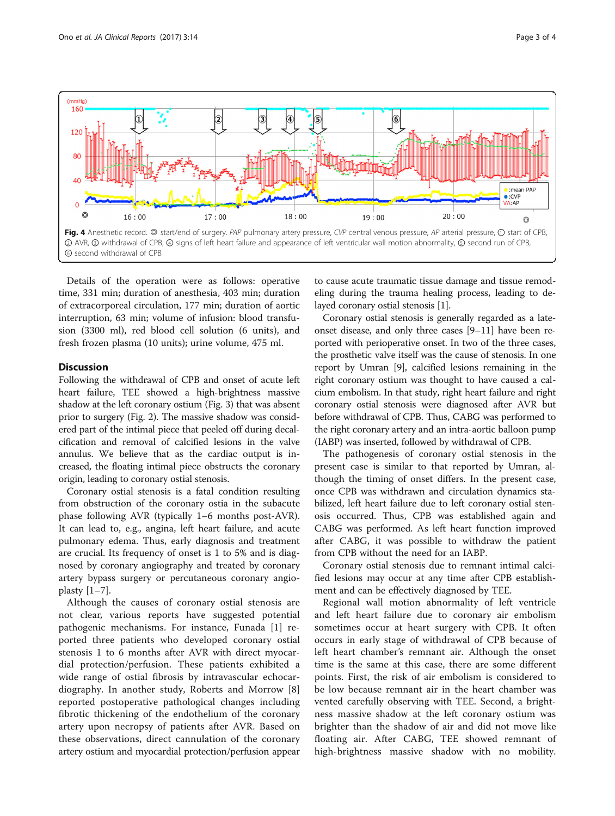<span id="page-2-0"></span>

Details of the operation were as follows: operative time, 331 min; duration of anesthesia, 403 min; duration of extracorporeal circulation, 177 min; duration of aortic interruption, 63 min; volume of infusion: blood transfusion (3300 ml), red blood cell solution (6 units), and fresh frozen plasma (10 units); urine volume, 475 ml.

## **Discussion**

Following the withdrawal of CPB and onset of acute left heart failure, TEE showed a high-brightness massive shadow at the left coronary ostium (Fig. [3](#page-1-0)) that was absent prior to surgery (Fig. [2](#page-1-0)). The massive shadow was considered part of the intimal piece that peeled off during decalcification and removal of calcified lesions in the valve annulus. We believe that as the cardiac output is increased, the floating intimal piece obstructs the coronary origin, leading to coronary ostial stenosis.

Coronary ostial stenosis is a fatal condition resulting from obstruction of the coronary ostia in the subacute phase following AVR (typically 1–6 months post-AVR). It can lead to, e.g., angina, left heart failure, and acute pulmonary edema. Thus, early diagnosis and treatment are crucial. Its frequency of onset is 1 to 5% and is diagnosed by coronary angiography and treated by coronary artery bypass surgery or percutaneous coronary angioplasty  $[1-7]$  $[1-7]$  $[1-7]$  $[1-7]$ .

Although the causes of coronary ostial stenosis are not clear, various reports have suggested potential pathogenic mechanisms. For instance, Funada [\[1](#page-3-0)] reported three patients who developed coronary ostial stenosis 1 to 6 months after AVR with direct myocardial protection/perfusion. These patients exhibited a wide range of ostial fibrosis by intravascular echocardiography. In another study, Roberts and Morrow [\[8](#page-3-0)] reported postoperative pathological changes including fibrotic thickening of the endothelium of the coronary artery upon necropsy of patients after AVR. Based on these observations, direct cannulation of the coronary artery ostium and myocardial protection/perfusion appear

to cause acute traumatic tissue damage and tissue remodeling during the trauma healing process, leading to delayed coronary ostial stenosis [[1\]](#page-3-0).

Coronary ostial stenosis is generally regarded as a lateonset disease, and only three cases [\[9](#page-3-0)–[11](#page-3-0)] have been reported with perioperative onset. In two of the three cases, the prosthetic valve itself was the cause of stenosis. In one report by Umran [\[9](#page-3-0)], calcified lesions remaining in the right coronary ostium was thought to have caused a calcium embolism. In that study, right heart failure and right coronary ostial stenosis were diagnosed after AVR but before withdrawal of CPB. Thus, CABG was performed to the right coronary artery and an intra-aortic balloon pump (IABP) was inserted, followed by withdrawal of CPB.

The pathogenesis of coronary ostial stenosis in the present case is similar to that reported by Umran, although the timing of onset differs. In the present case, once CPB was withdrawn and circulation dynamics stabilized, left heart failure due to left coronary ostial stenosis occurred. Thus, CPB was established again and CABG was performed. As left heart function improved after CABG, it was possible to withdraw the patient from CPB without the need for an IABP.

Coronary ostial stenosis due to remnant intimal calcified lesions may occur at any time after CPB establishment and can be effectively diagnosed by TEE.

Regional wall motion abnormality of left ventricle and left heart failure due to coronary air embolism sometimes occur at heart surgery with CPB. It often occurs in early stage of withdrawal of CPB because of left heart chamber's remnant air. Although the onset time is the same at this case, there are some different points. First, the risk of air embolism is considered to be low because remnant air in the heart chamber was vented carefully observing with TEE. Second, a brightness massive shadow at the left coronary ostium was brighter than the shadow of air and did not move like floating air. After CABG, TEE showed remnant of high-brightness massive shadow with no mobility.